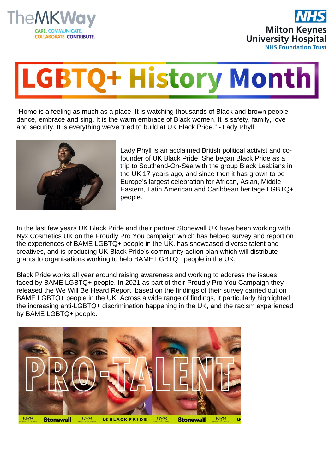



## **GBTQ+ History Month**

"Home is a feeling as much as a place. It is watching thousands of Black and brown people dance, embrace and sing. It is the warm embrace of Black women. It is safety, family, love and security. It is everything we've tried to build at UK Black Pride." - Lady Phyll



Lady Phyll is an acclaimed British political activist and cofounder of UK Black Pride. She began Black Pride as a trip to Southend-On-Sea with the group Black Lesbians in the UK 17 years ago, and since then it has grown to be Europe's largest celebration for African, Asian, Middle Eastern, Latin American and Caribbean heritage LGBTQ+ people.

In the last few years UK Black Pride and their partner Stonewall UK have been working with Nyx Cosmetics UK on the Proudly Pro You campaign which has helped survey and report on the experiences of BAME LGBTQ+ people in the UK, has showcased diverse talent and creatives, and is producing UK Black Pride's community action plan which will distribute grants to organisations working to help BAME LGBTQ+ people in the UK.

Black Pride works all year around raising awareness and working to address the issues faced by BAME LGBTQ+ people. In 2021 as part of their Proudly Pro You Campaign they released the We Will Be Heard Report, based on the findings of their survey carried out on BAME LGBTQ+ people in the UK. Across a wide range of findings, it particularly highlighted the increasing anti-LGBTQ+ discrimination happening in the UK, and the racism experienced by BAME LGBTQ+ people.